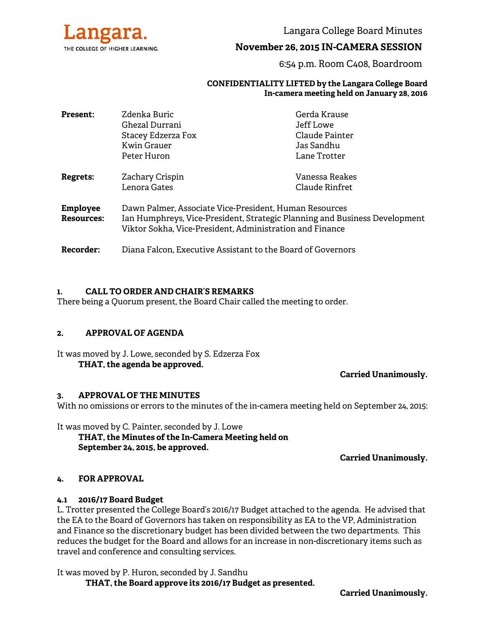

Langara College Board Minutes

# **November 26, 2015 IN-CAMERA SESSION**

6:54 p.m. Room C408, Boardroom

#### **CONFIDENTIALITY LIFTED by the Langara College Board In-camera meeting held on January 28, 2016**

| <b>Present:</b>                      | Zdenka Buric                                                                                                                                                                                     | Gerda Krause   |
|--------------------------------------|--------------------------------------------------------------------------------------------------------------------------------------------------------------------------------------------------|----------------|
|                                      | Ghezal Durrani                                                                                                                                                                                   | Jeff Lowe      |
|                                      | Stacey Edzerza Fox                                                                                                                                                                               | Claude Painter |
|                                      | Kwin Grauer                                                                                                                                                                                      | Jas Sandhu     |
|                                      | Peter Huron                                                                                                                                                                                      | Lane Trotter   |
| <b>Regrets:</b>                      | Zachary Crispin                                                                                                                                                                                  | Vanessa Reakes |
|                                      | Lenora Gates                                                                                                                                                                                     | Claude Rinfret |
| <b>Employee</b><br><b>Resources:</b> | Dawn Palmer, Associate Vice-President, Human Resources<br>Ian Humphreys, Vice-President, Strategic Planning and Business Development<br>Viktor Sokha, Vice-President, Administration and Finance |                |
| <b>Recorder:</b>                     | Diana Falcon, Executive Assistant to the Board of Governors                                                                                                                                      |                |

#### **1. CALL TO ORDER AND CHAIR'S REMARKS**

There being a Quorum present, the Board Chair called the meeting to order.

#### **2. APPROVAL OF AGENDA**

It was moved by J. Lowe, seconded by S. Edzerza Fox **THAT, the agenda be approved.** 

**Carried Unanimously.**

#### **3. APPROVAL OF THE MINUTES**

With no omissions or errors to the minutes of the in-camera meeting held on September 24, 2015:

It was moved by C. Painter, seconded by J. Lowe  **THAT, the Minutes of the In-Camera Meeting held on September 24, 2015, be approved.** 

**Carried Unanimously.** 

#### **4. FOR APPROVAL**

#### **4.1 2016/17 Board Budget**

L. Trotter presented the College Board's 2016/17 Budget attached to the agenda. He advised that the EA to the Board of Governors has taken on responsibility as EA to the VP, Administration and Finance so the discretionary budget has been divided between the two departments. This reduces the budget for the Board and allows for an increase in non-discretionary items such as travel and conference and consulting services.

It was moved by P. Huron, seconded by J. Sandhu  **THAT, the Board approve its 2016/17 Budget as presented.**